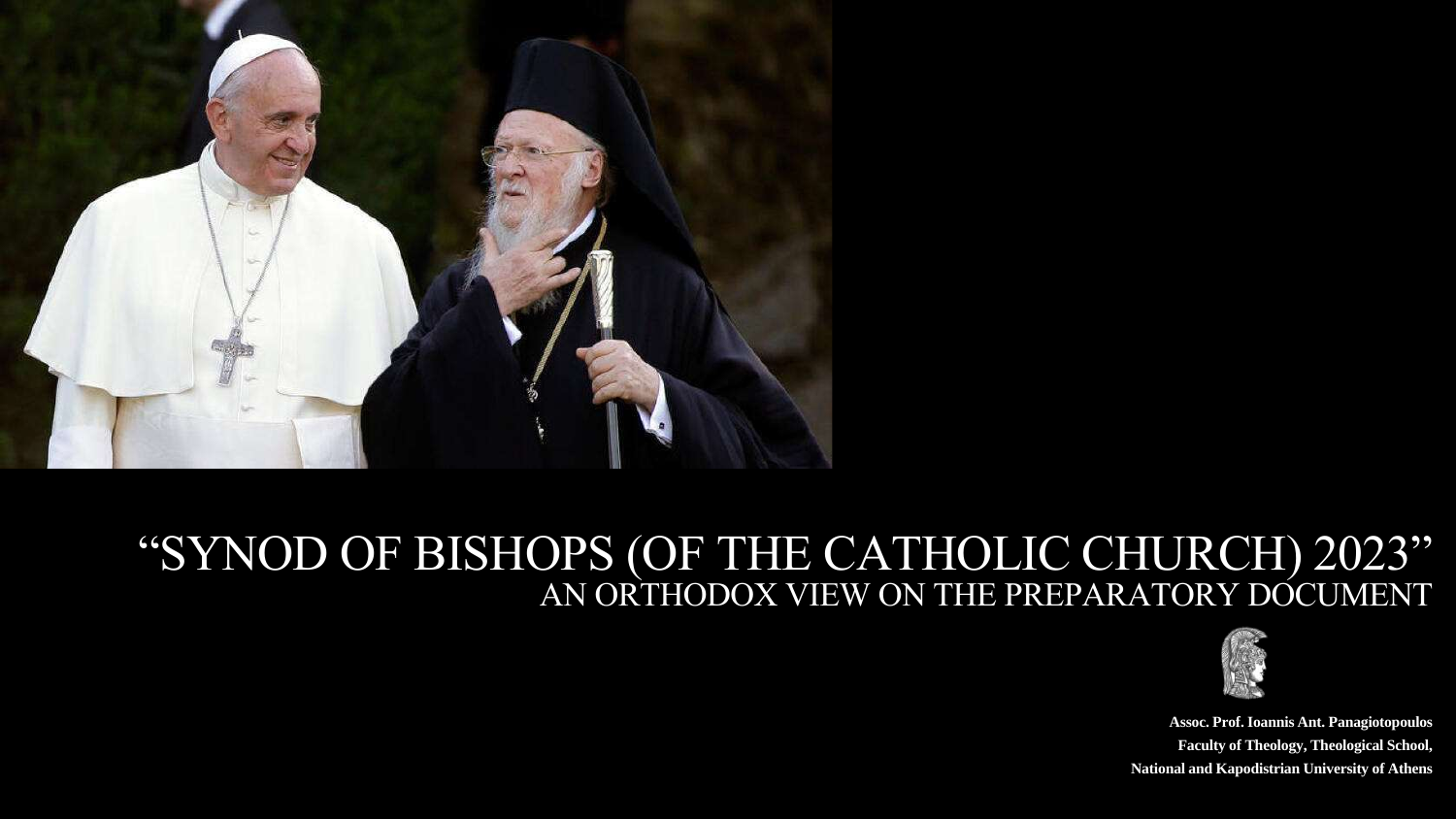**Assoc. Prof. Ioannis Ant. Panagiotopoulos Faculty of Theology, Theological School, National and Kapodistrian University of Athens**







## "SYNOD OF BISHOPS (OF THE CATHOLIC CHURCH) 2023" AN ORTHODOX VIEW ON THE PREPARATORY DOCUMENT

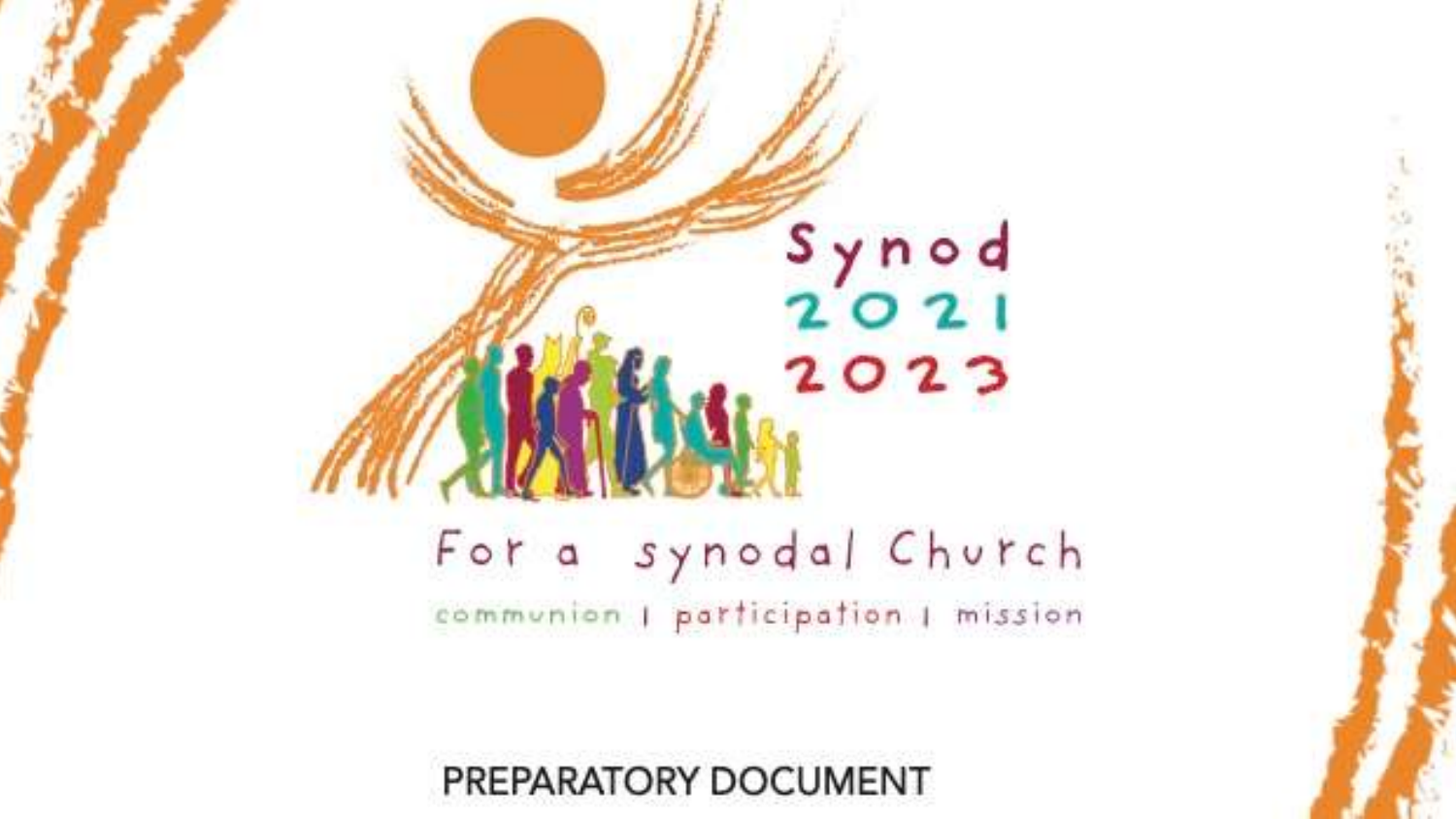

## For a synodal Church communion I participation I mission



## $\begin{array}{c}\nS \gamma n o d \\
2 O 21\n\end{array}$  $2023$

PREPARATORY DOCUMENT

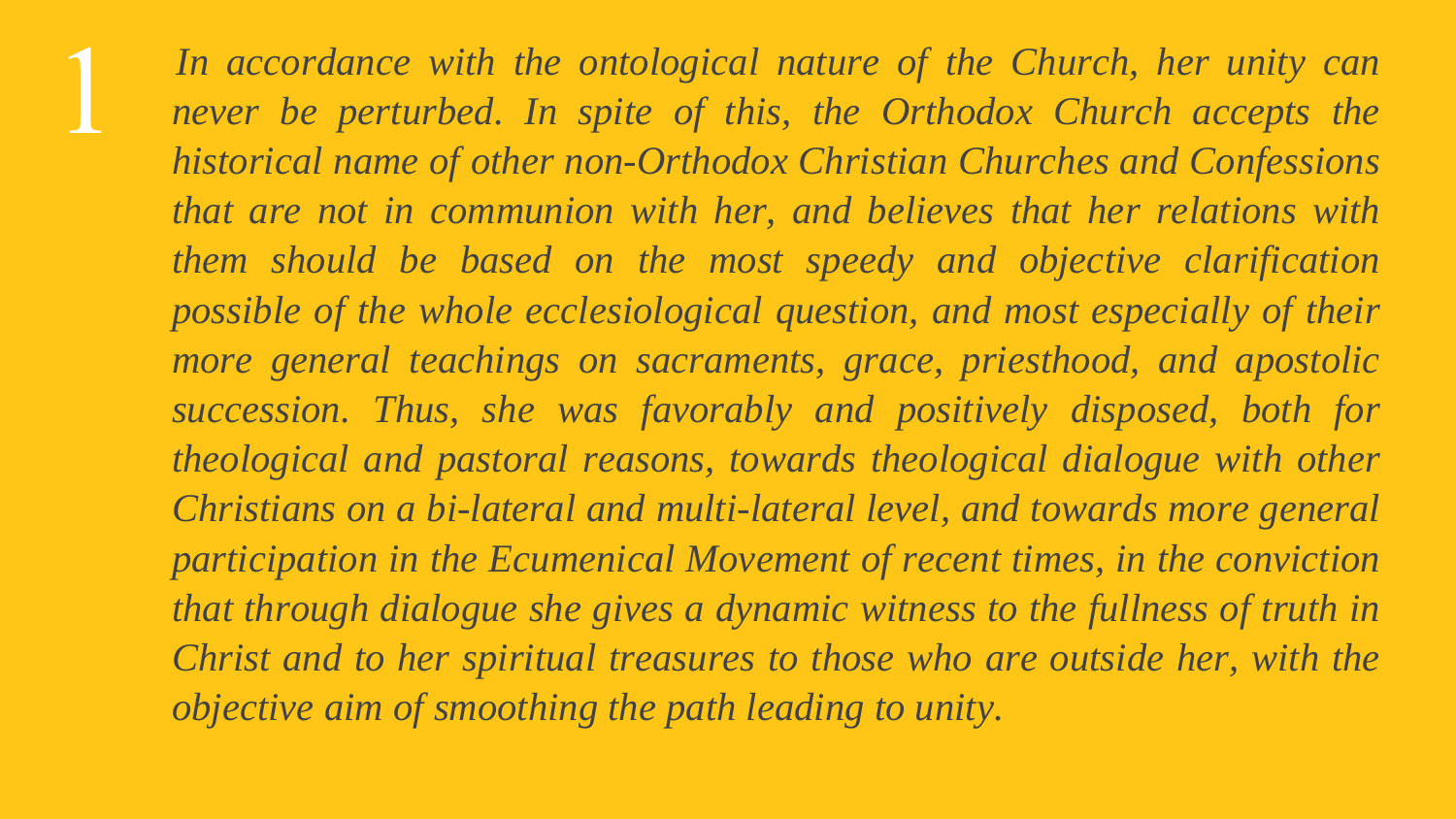

*In accordance with the ontological nature of the Church, her unity can never be perturbed. In spite of this, the Orthodox Church accepts the historical name of other non-Orthodox Christian Churches and Confessions that are not in communion with her, and believes that her relations with them should be based on the most speedy and objective clarification possible of the whole ecclesiological question, and most especially of their more general teachings on sacraments, grace, priesthood, and apostolic succession. Thus, she was favorably and positively disposed, both for theological and pastoral reasons, towards theological dialogue with other Christians on a bi-lateral and multi-lateral level, and towards more general participation in the Ecumenical Movement of recent times, in the conviction that through dialogue she gives a dynamic witness to the fullness of truth in Christ and to her spiritual treasures to those who are outside her, with the objective aim of smoothing the path leading to unity.*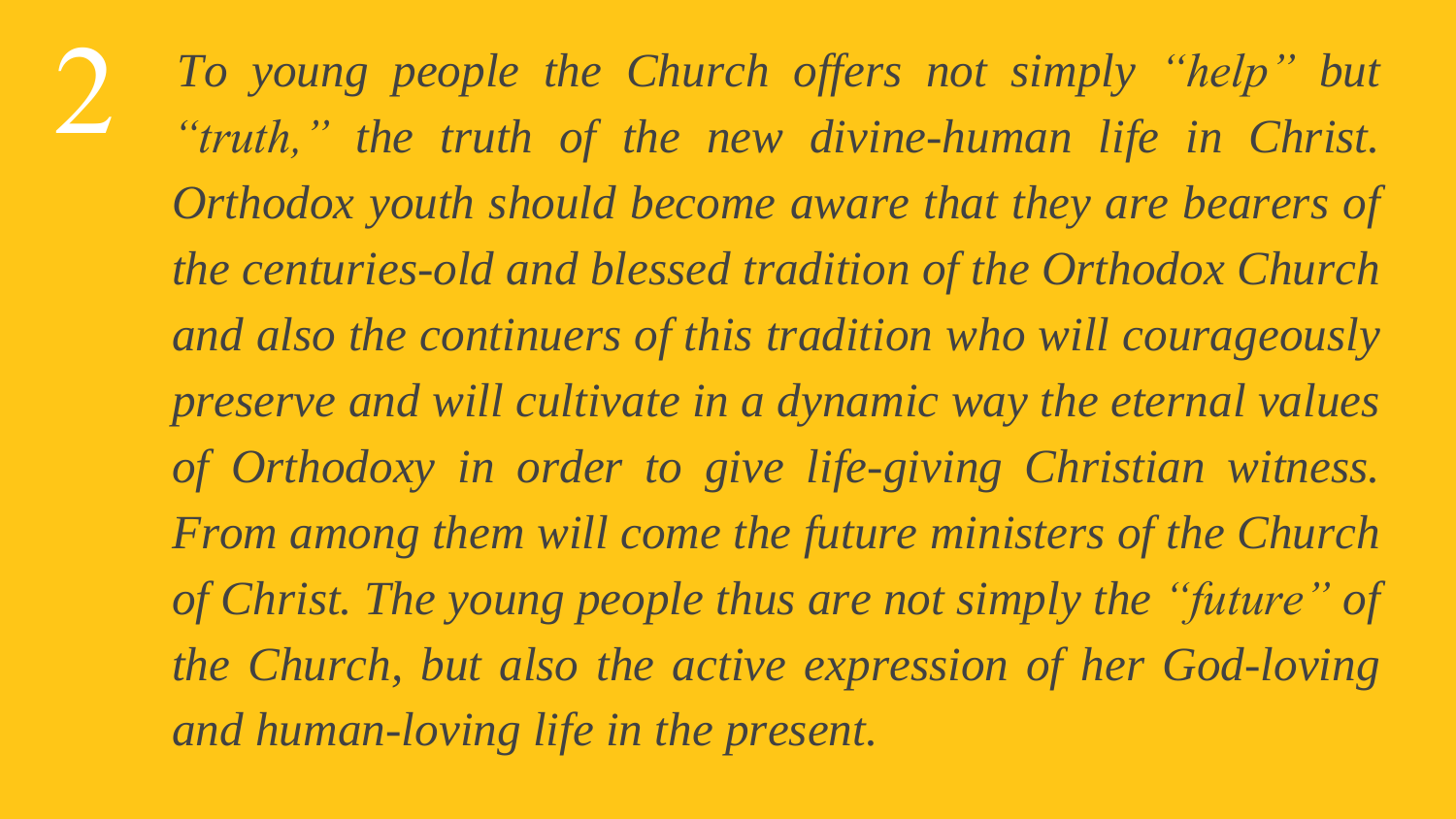

*To young people the Church offers not simply "help" but "truth," the truth of the new divine-human life in Christ. Orthodox youth should become aware that they are bearers of the centuries-old and blessed tradition of the Orthodox Church and also the continuers of this tradition who will courageously preserve and will cultivate in a dynamic way the eternal values of Orthodoxy in order to give life-giving Christian witness. From among them will come the future ministers of the Church of Christ. The young people thus are not simply the "future" of the Church, but also the active expression of her God-loving and human-loving life in the present.*

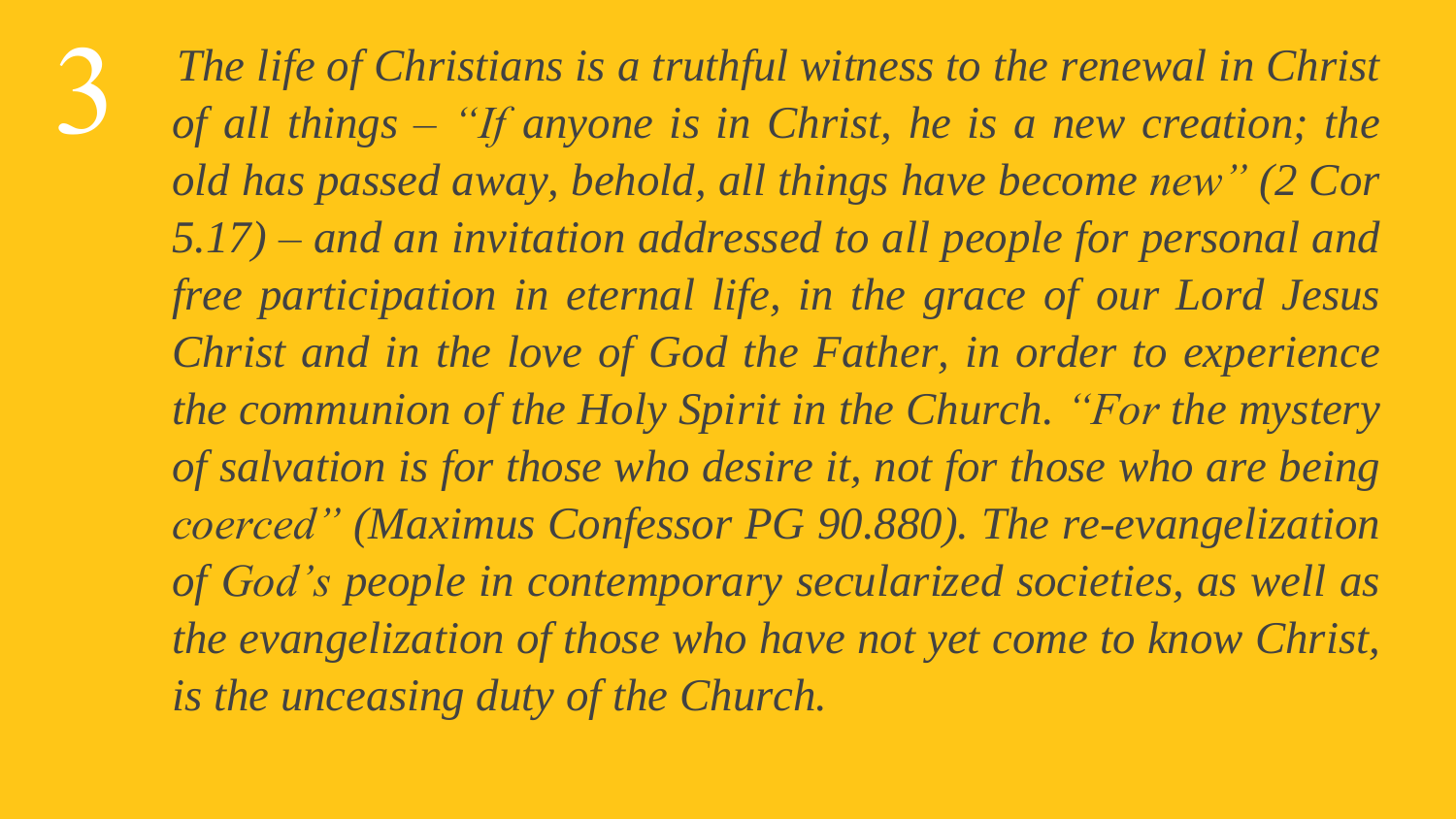*The life of Christians is a truthful witness to the renewal in Christ of all things – "If anyone is in Christ, he is a new creation; the old has passed away, behold, all things have become new" (2 Cor 5.17) – and an invitation addressed to all people for personal and free participation in eternal life, in the grace of our Lord Jesus Christ and in the love of God the Father, in order to experience the communion of the Holy Spirit in the Church. "For the mystery of salvation is for those who desire it, not for those who are being coerced" (Maximus Confessor PG 90.880). The re-evangelization of God's people in contemporary secularized societies, as well as the evangelization of those who have not yet come to know Christ, is the unceasing duty of the Church.*

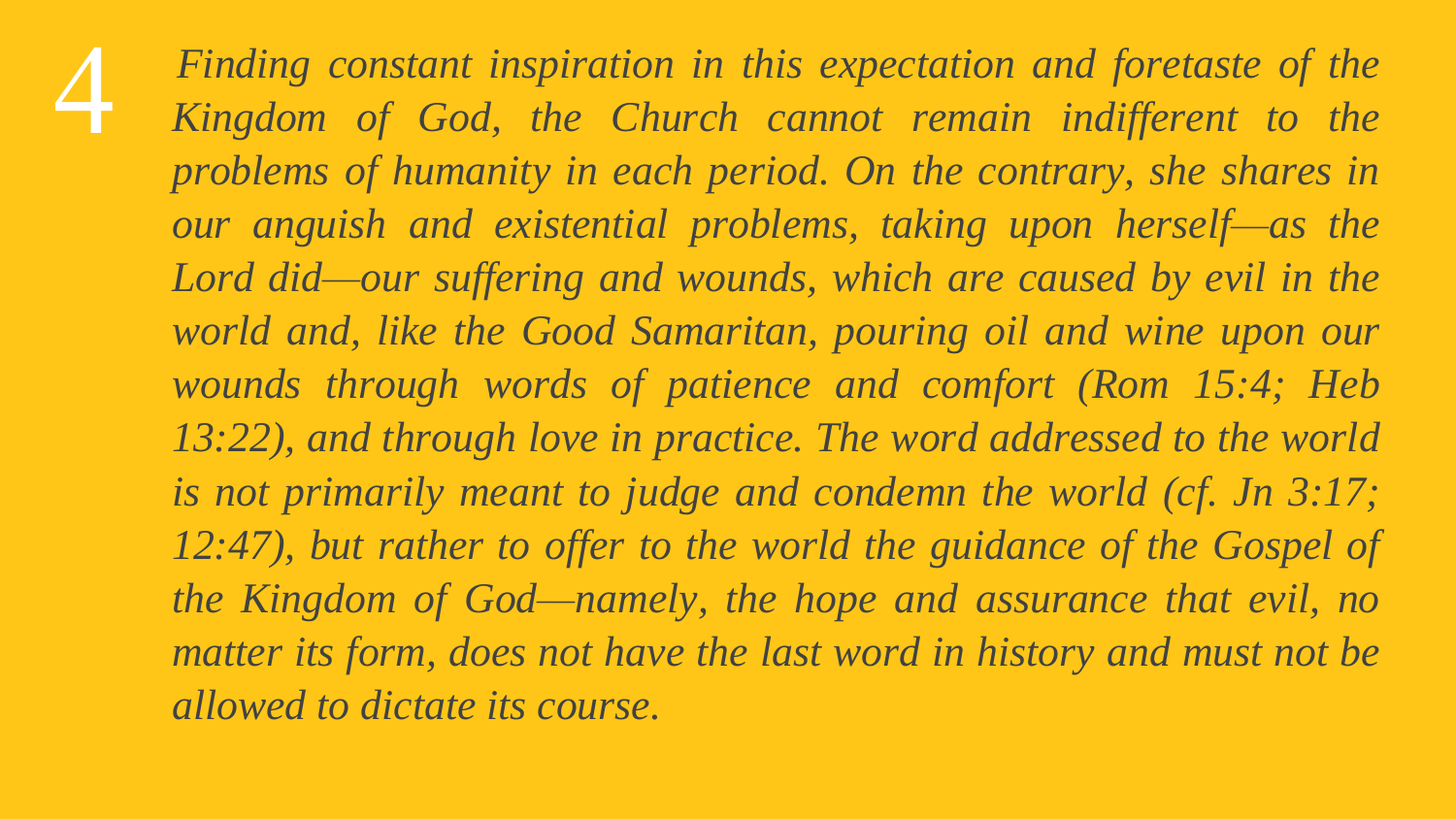*Finding constant inspiration in this expectation and foretaste of the Kingdom of God, the Church cannot remain indifferent to the problems of humanity in each period. On the contrary, she shares in our anguish and existential problems, taking upon herself—as the Lord did—our suffering and wounds, which are caused by evil in the world and, like the Good Samaritan, pouring oil and wine upon our wounds through words of patience and comfort (Rom 15:4; Heb 13:22), and through love in practice. The word addressed to the world is not primarily meant to judge and condemn the world (cf. Jn 3:17; 12:47), but rather to offer to the world the guidance of the Gospel of the Kingdom of God—namely, the hope and assurance that evil, no matter its form, does not have the last word in history and must not be allowed to dictate its course.*

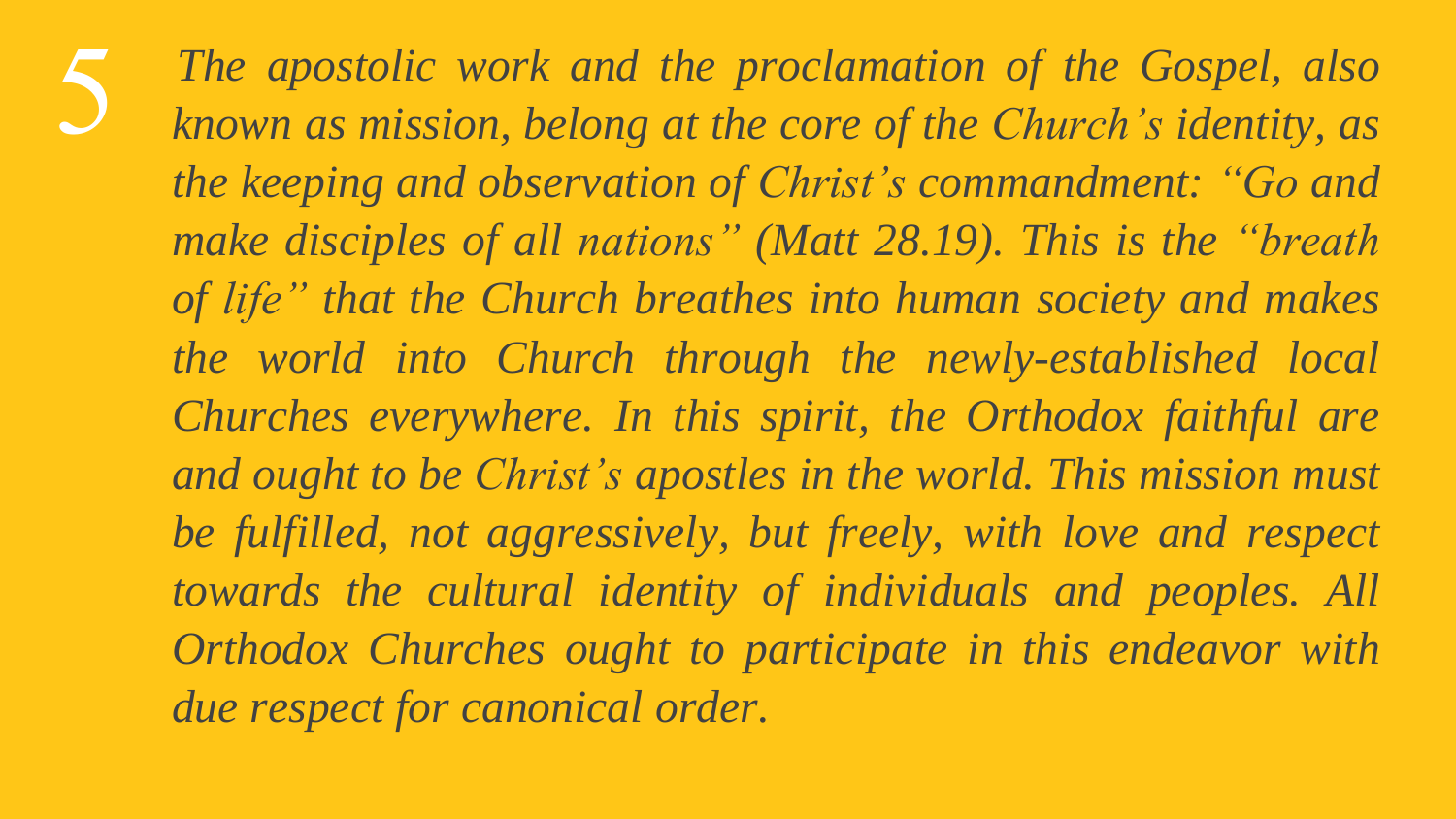

*The apostolic work and the proclamation of the Gospel, also known as mission, belong at the core of the Church's identity, as the keeping and observation of Christ's commandment: "Go and make disciples of all nations" (Matt 28.19). This is the "breath of life" that the Church breathes into human society and makes the world into Church through the newly-established local Churches everywhere. In this spirit, the Orthodox faithful are and ought to be Christ's apostles in the world. This mission must be fulfilled, not aggressively, but freely, with love and respect towards the cultural identity of individuals and peoples. All Orthodox Churches ought to participate in this endeavor with due respect for canonical order.*

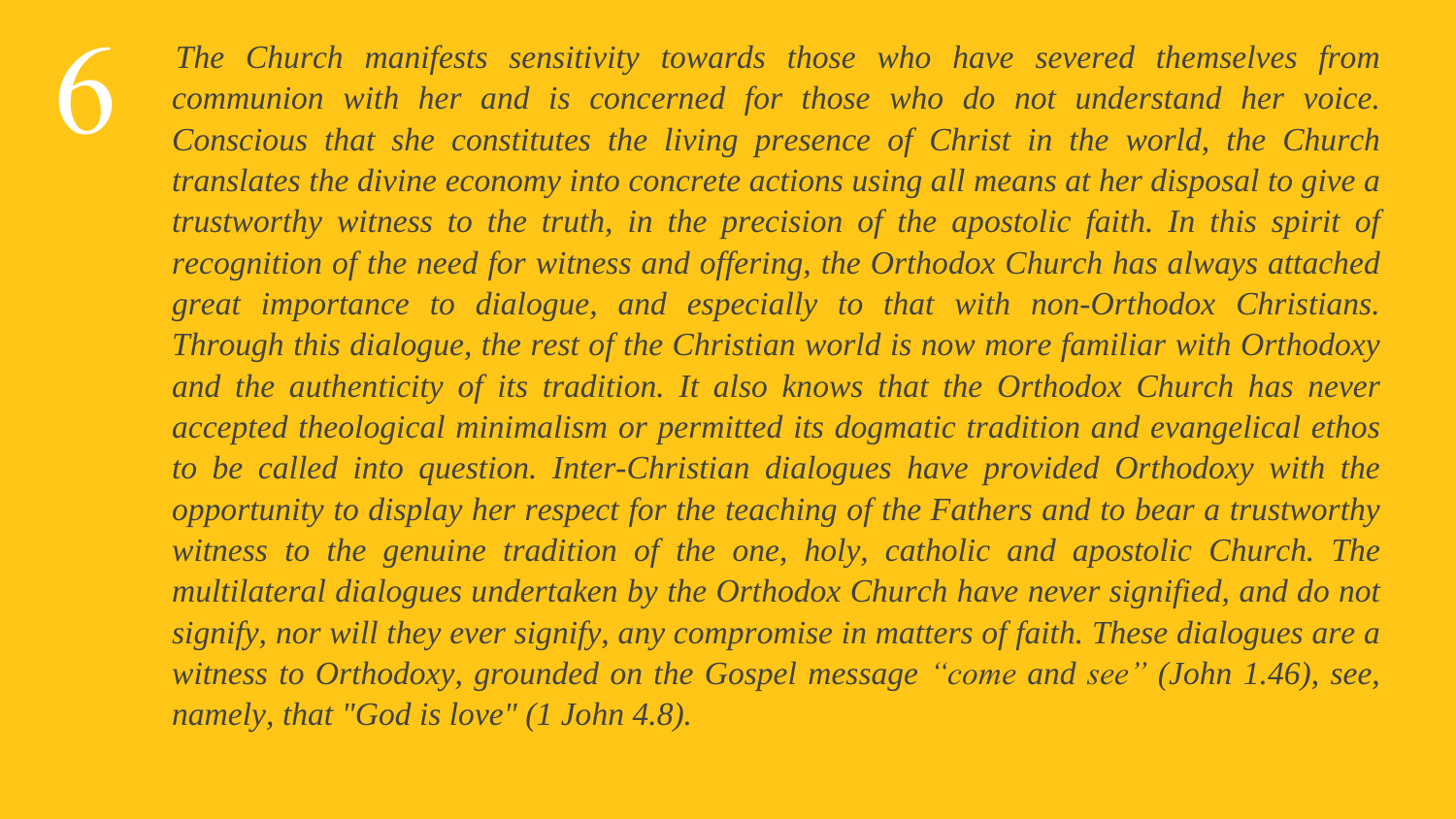*The Church manifests sensitivity towards those who have severed themselves from communion with her and is concerned for those who do not understand her voice. Conscious that she constitutes the living presence of Christ in the world, the Church translates the divine economy into concrete actions using all means at her disposal to give a trustworthy witness to the truth, in the precision of the apostolic faith. In this spirit of recognition of the need for witness and offering, the Orthodox Church has always attached great importance to dialogue, and especially to that with non-Orthodox Christians. Through this dialogue, the rest of the Christian world is now more familiar with Orthodoxy and the authenticity of its tradition. It also knows that the Orthodox Church has never accepted theological minimalism or permitted its dogmatic tradition and evangelical ethos to be called into question. Inter-Christian dialogues have provided Orthodoxy with the opportunity to display her respect for the teaching of the Fathers and to bear a trustworthy witness to the genuine tradition of the one, holy, catholic and apostolic Church. The multilateral dialogues undertaken by the Orthodox Church have never signified, and do not signify, nor will they ever signify, any compromise in matters of faith. These dialogues are a witness to Orthodoxy, grounded on the Gospel message "come and see" (John 1.46), see, namely, that "God is love" (1 John 4.8).*

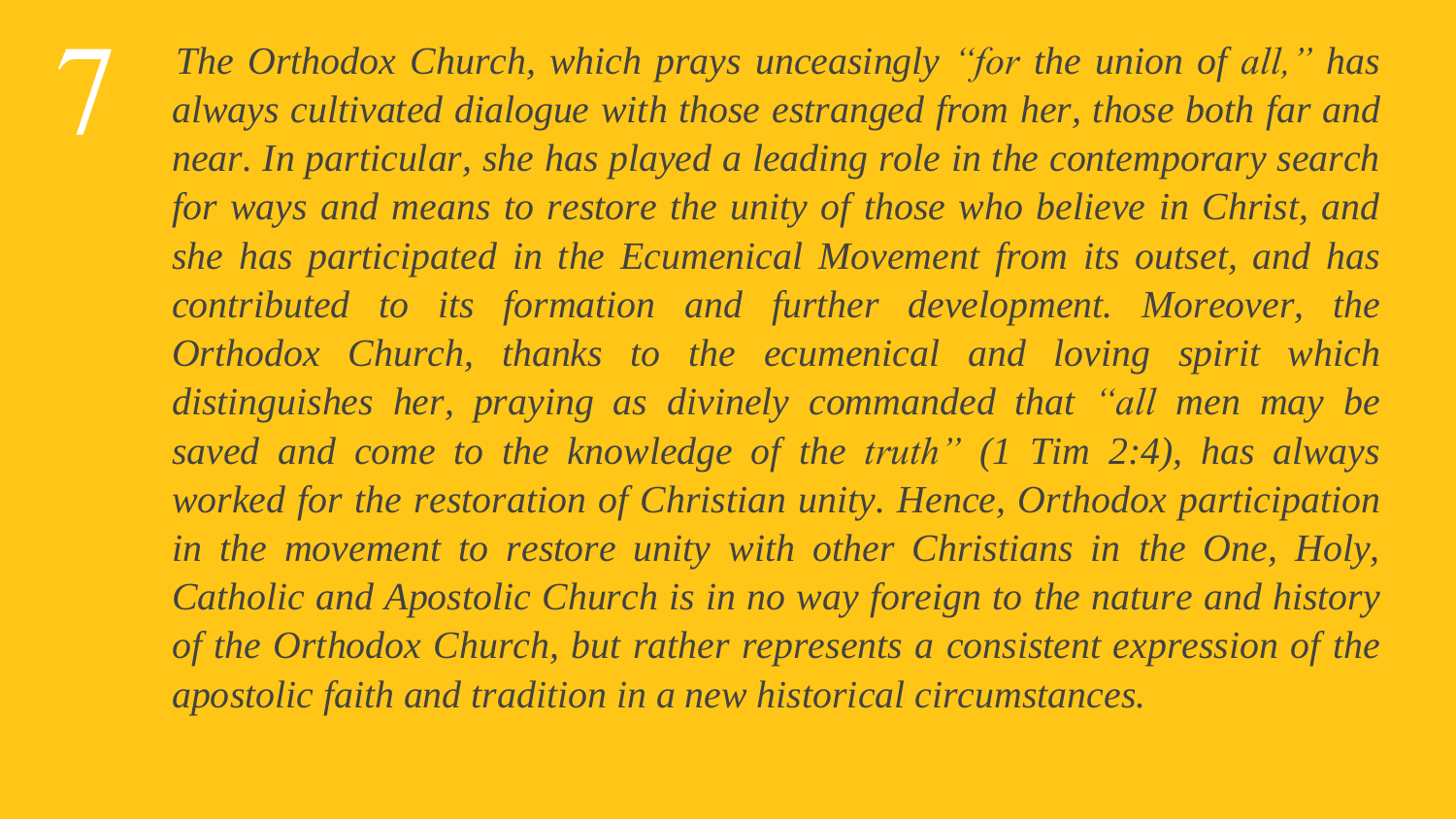

*The Orthodox Church, which prays unceasingly "for the union of all," has always cultivated dialogue with those estranged from her, those both far and near. In particular, she has played a leading role in the contemporary search for ways and means to restore the unity of those who believe in Christ, and she has participated in the Ecumenical Movement from its outset, and has contributed to its formation and further development. Moreover, the Orthodox Church, thanks to the ecumenical and loving spirit which distinguishes her, praying as divinely commanded that "all men may be saved and come to the knowledge of the truth" (1 Tim 2:4), has always worked for the restoration of Christian unity. Hence, Orthodox participation in the movement to restore unity with other Christians in the One, Holy, Catholic and Apostolic Church is in no way foreign to the nature and history of the Orthodox Church, but rather represents a consistent expression of the apostolic faith and tradition in a new historical circumstances.*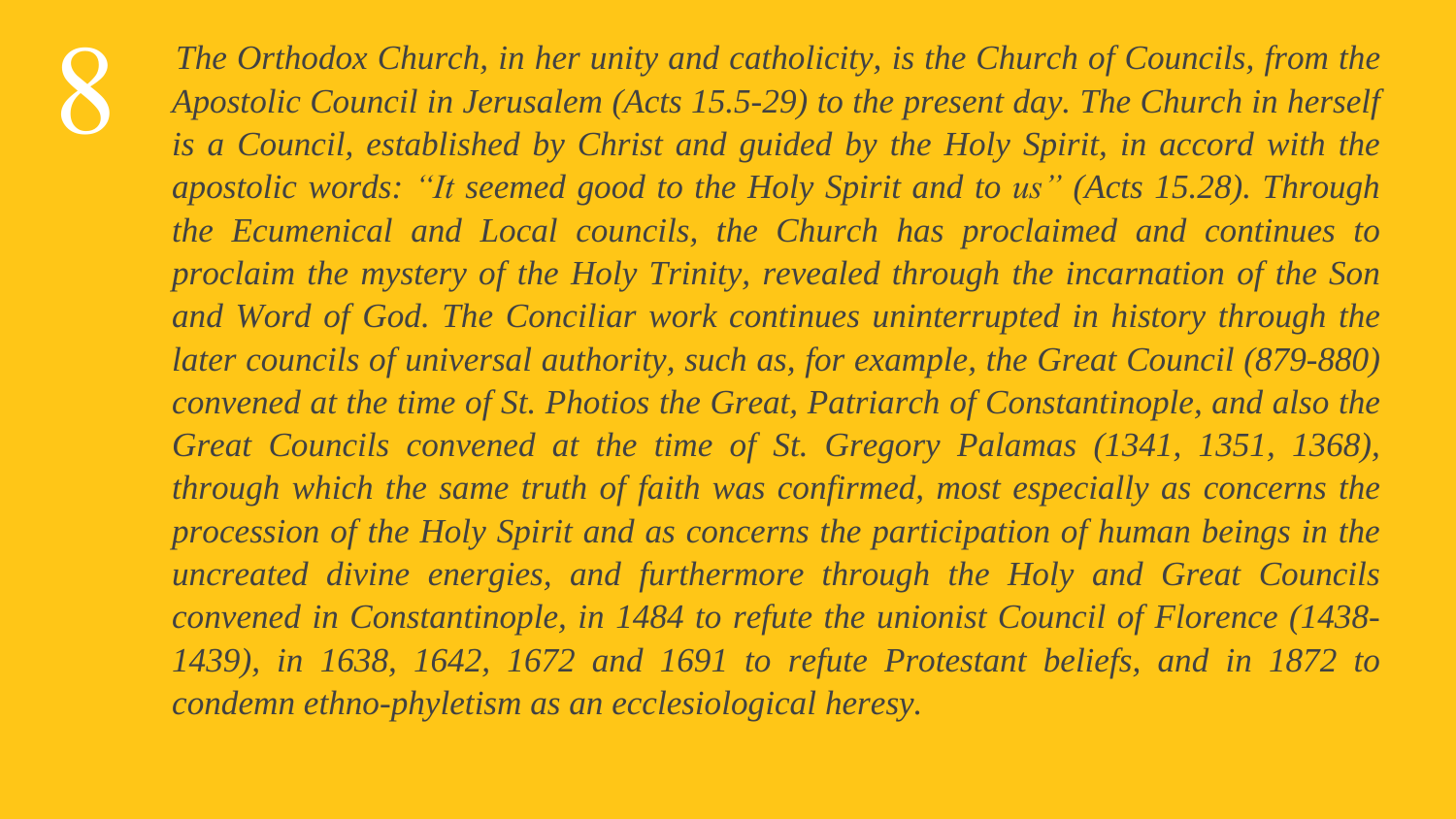*The Orthodox Church, in her unity and catholicity, is the Church of Councils, from the Apostolic Council in Jerusalem (Acts 15.5-29) to the present day. The Church in herself is a Council, established by Christ and guided by the Holy Spirit, in accord with the apostolic words: "It seemed good to the Holy Spirit and to us" (Acts 15.28). Through the Ecumenical and Local councils, the Church has proclaimed and continues to proclaim the mystery of the Holy Trinity, revealed through the incarnation of the Son and Word of God. The Conciliar work continues uninterrupted in history through the later councils of universal authority, such as, for example, the Great Council (879-880) convened at the time of St. Photios the Great, Patriarch of Constantinople, and also the Great Councils convened at the time of St. Gregory Palamas (1341, 1351, 1368), through which the same truth of faith was confirmed, most especially as concerns the procession of the Holy Spirit and as concerns the participation of human beings in the uncreated divine energies, and furthermore through the Holy and Great Councils convened in Constantinople, in 1484 to refute the unionist Council of Florence (1438- 1439), in 1638, 1642, 1672 and 1691 to refute Protestant beliefs, and in 1872 to condemn ethno-phyletism as an ecclesiological heresy.*



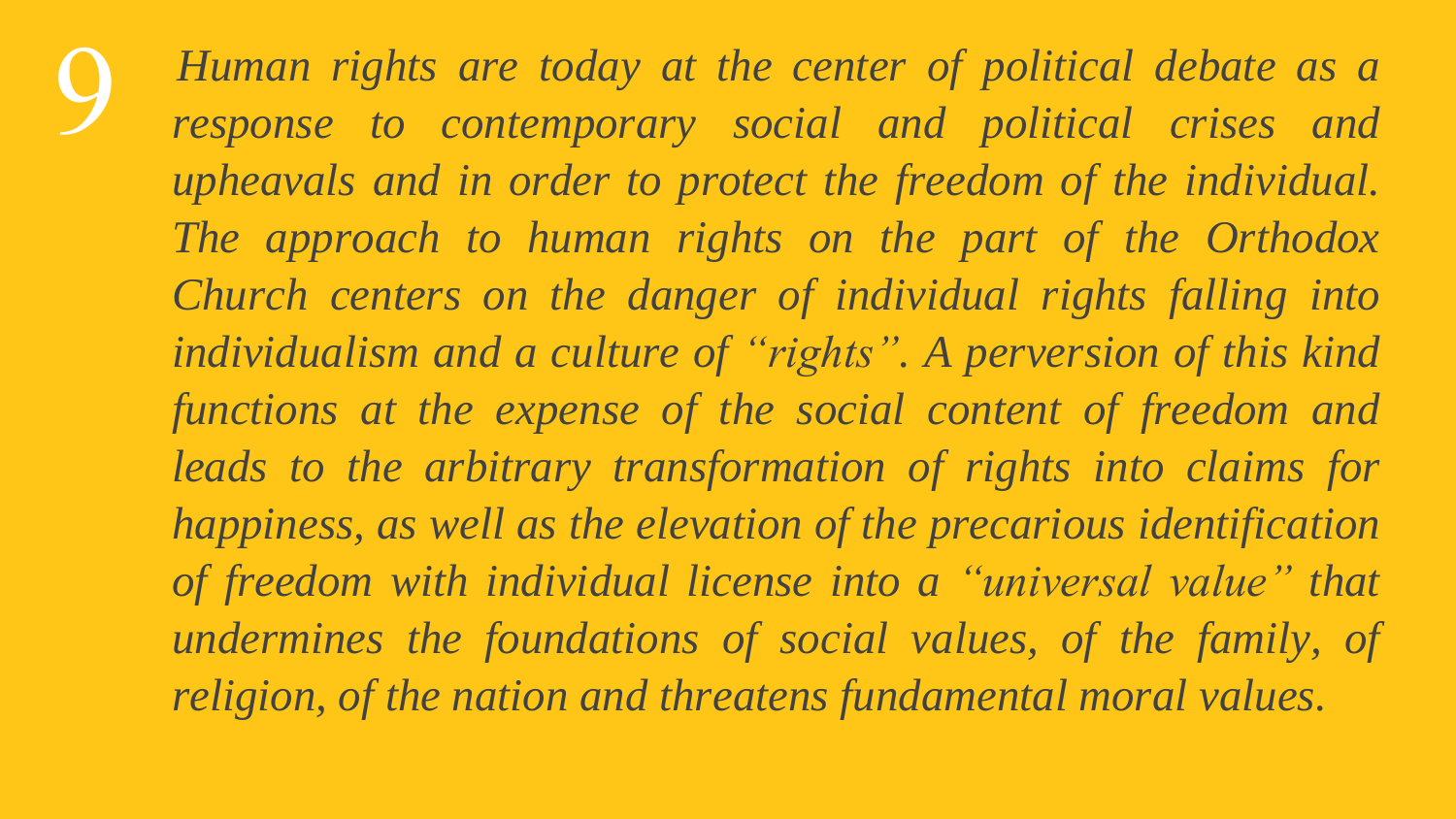*Human rights are today at the center of political debate as a response to contemporary social and political crises and upheavals and in order to protect the freedom of the individual. The approach to human rights on the part of the Orthodox Church centers on the danger of individual rights falling into individualism and a culture of "rights". A perversion of this kind functions at the expense of the social content of freedom and leads to the arbitrary transformation of rights into claims for happiness, as well as the elevation of the precarious identification of freedom with individual license into a "universal value" that undermines the foundations of social values, of the family, of religion, of the nation and threatens fundamental moral values.*